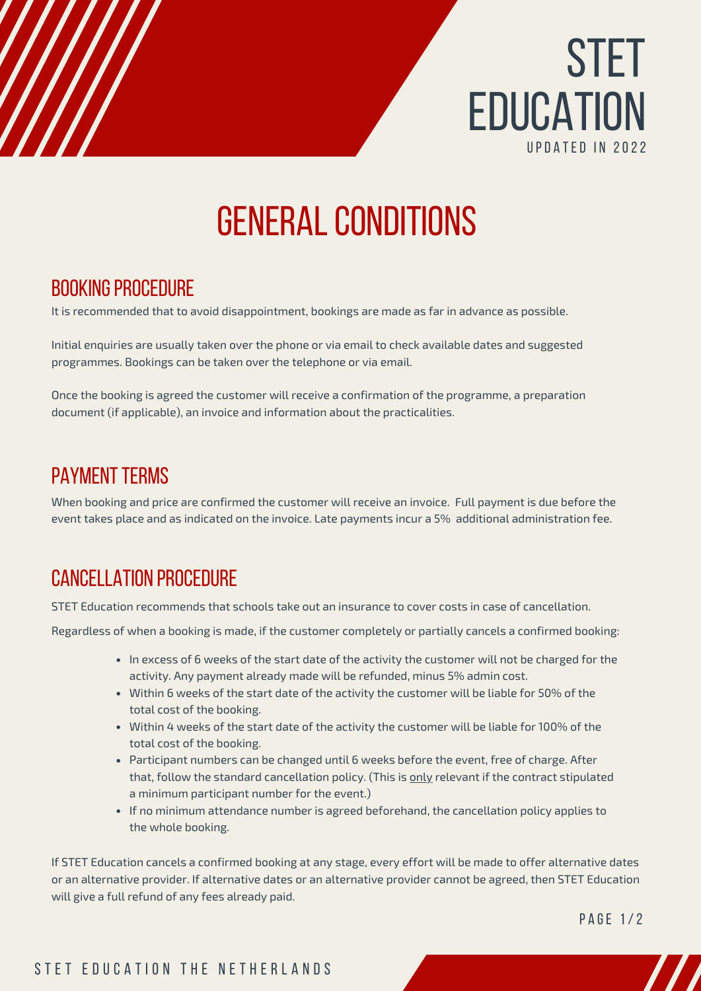

# **GENERAL CONDITIONS**

## BOOKING PROCEDURE

It is recommended that to avoid disappointment, bookings are made as far in advance as possible.

Initial enquiries are usually taken over the phone or via email to check available dates and suggested programmes. Bookings can be taken over the telephone or via email.

Once the booking is agreed the customer will receive a confirmation of the programme, a preparation document (if applicable), an invoice and information about the practicalities.

### **PAYMENT TERMS**

When booking and price are confirmed the customer will receive an invoice. Full payment is due before the event takes place and as indicated on the invoice. Late payments incur a 5% additional administration fee.

## [cancellation](https://vimeo.com/user28416545) procedure

STET Education recommends that schools take out an insurance to cover costs in case of cancellation.

Regardless of when a booking is made, if the customer completely or partially cancels a confirmed booking:

- In excess of 6 weeks of the start date of the activity the customer will not be charged for the activity. Any payment already made will be refunded, minus 5% admin cost.
- Within 6 weeks of the start date of the activity the customer will be liable for 50% of the total cost of the booking.
- Within 4 weeks of the start date of the activity the customer will be liable for 100% of the total cost of the booking.
- Participant numbers can be changed until 6 weeks before the event, free of charge. After that, follow the standard cancellation policy. (This is only relevant if the contract stipulated a minimum participant number for the event.)
- If no minimum attendance number is agreed beforehand, the cancellation policy applies to the whole booking.

If STET Education cancels a confirmed booking at any stage, every effort will be made to offer alternative dates or an alternative provider. If alternative dates or an alternative provider cannot be agreed, then STET Education will give a full refund of any fees already paid.

PAGE 1/2

### STET EDUCATION THE NETHERLANDS